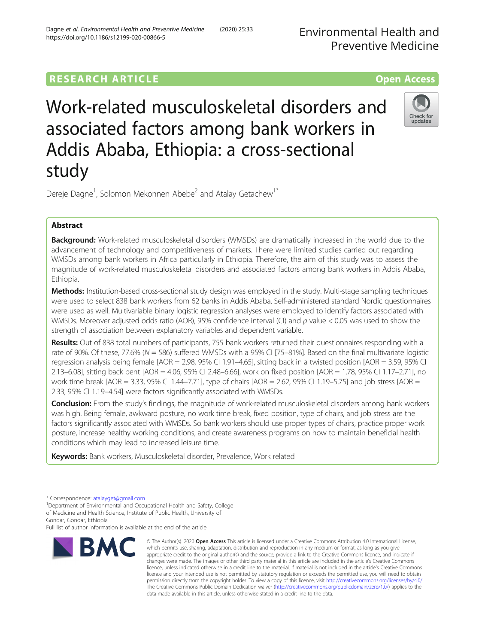# **RESEARCH ARTICLE EXECUTE: CONSIDERING A RESEARCH ARTICLE**

# Work-related musculoskeletal disorders and associated factors among bank workers in Addis Ababa, Ethiopia: a cross-sectional study



Dereje Dagne<sup>1</sup>, Solomon Mekonnen Abebe<sup>2</sup> and Atalay Getachew<sup>1\*</sup>

# Abstract

**Background:** Work-related musculoskeletal disorders (WMSDs) are dramatically increased in the world due to the advancement of technology and competitiveness of markets. There were limited studies carried out regarding WMSDs among bank workers in Africa particularly in Ethiopia. Therefore, the aim of this study was to assess the magnitude of work-related musculoskeletal disorders and associated factors among bank workers in Addis Ababa, Ethiopia.

Methods: Institution-based cross-sectional study design was employed in the study. Multi-stage sampling techniques were used to select 838 bank workers from 62 banks in Addis Ababa. Self-administered standard Nordic questionnaires were used as well. Multivariable binary logistic regression analyses were employed to identify factors associated with WMSDs. Moreover adjusted odds ratio (AOR), 95% confidence interval (CI) and  $p$  value < 0.05 was used to show the strength of association between explanatory variables and dependent variable.

Results: Out of 838 total numbers of participants, 755 bank workers returned their questionnaires responding with a rate of 90%. Of these, 77.6% (N = 586) suffered WMSDs with a 95% CI [75–81%]. Based on the final multivariate logistic regression analysis being female [AOR = 2.98, 95% CI 1.91–4.65], sitting back in a twisted position [AOR = 3.59, 95% CI 2.13–6.08], sitting back bent [AOR = 4.06, 95% CI 2.48–6.66], work on fixed position [AOR = 1.78, 95% CI 1.17–2.71], no work time break [AOR = 3.33, 95% CI 1.44–7.71], type of chairs [AOR = 2.62, 95% CI 1.19–5.75] and job stress [AOR = 2.33, 95% CI 1.19–4.54] were factors significantly associated with WMSDs.

Conclusion: From the study's findings, the magnitude of work-related musculoskeletal disorders among bank workers was high. Being female, awkward posture, no work time break, fixed position, type of chairs, and job stress are the factors significantly associated with WMSDs. So bank workers should use proper types of chairs, practice proper work posture, increase healthy working conditions, and create awareness programs on how to maintain beneficial health conditions which may lead to increased leisure time.

Keywords: Bank workers, Musculoskeletal disorder, Prevalence, Work related

Full list of author information is available at the end of the article



<sup>©</sup> The Author(s), 2020 **Open Access** This article is licensed under a Creative Commons Attribution 4.0 International License, which permits use, sharing, adaptation, distribution and reproduction in any medium or format, as long as you give appropriate credit to the original author(s) and the source, provide a link to the Creative Commons licence, and indicate if changes were made. The images or other third party material in this article are included in the article's Creative Commons licence, unless indicated otherwise in a credit line to the material. If material is not included in the article's Creative Commons licence and your intended use is not permitted by statutory regulation or exceeds the permitted use, you will need to obtain permission directly from the copyright holder. To view a copy of this licence, visit [http://creativecommons.org/licenses/by/4.0/.](http://creativecommons.org/licenses/by/4.0/) The Creative Commons Public Domain Dedication waiver [\(http://creativecommons.org/publicdomain/zero/1.0/](http://creativecommons.org/publicdomain/zero/1.0/)) applies to the data made available in this article, unless otherwise stated in a credit line to the data.

<sup>\*</sup> Correspondence: [atalayget@gmail.com](mailto:atalayget@gmail.com) <sup>1</sup>

<sup>&</sup>lt;sup>1</sup>Department of Environmental and Occupational Health and Safety, College of Medicine and Health Science, Institute of Public Health, University of Gondar, Gondar, Ethiopia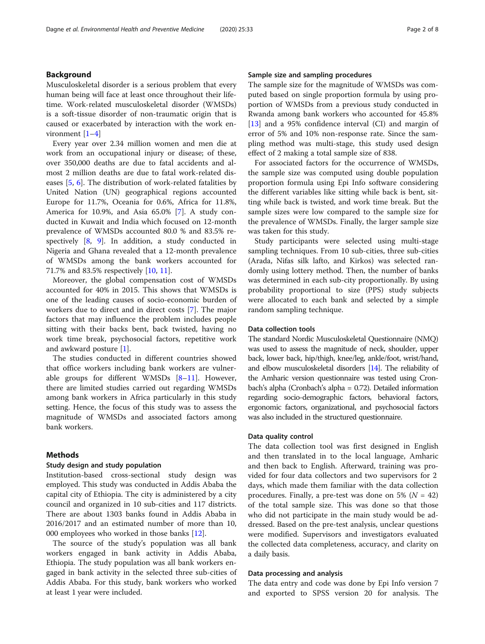# Background

Musculoskeletal disorder is a serious problem that every human being will face at least once throughout their lifetime. Work-related musculoskeletal disorder (WMSDs) is a soft-tissue disorder of non-traumatic origin that is caused or exacerbated by interaction with the work environment [\[1](#page-7-0)–[4\]](#page-7-0)

Every year over 2.34 million women and men die at work from an occupational injury or disease; of these, over 350,000 deaths are due to fatal accidents and almost 2 million deaths are due to fatal work-related diseases [[5,](#page-7-0) [6\]](#page-7-0). The distribution of work-related fatalities by United Nation (UN) geographical regions accounted Europe for 11.7%, Oceania for 0.6%, Africa for 11.8%, America for 10.9%, and Asia 65.0% [\[7](#page-7-0)]. A study conducted in Kuwait and India which focused on 12-month prevalence of WMSDs accounted 80.0 % and 83.5% respectively [[8,](#page-7-0) [9](#page-7-0)]. In addition, a study conducted in Nigeria and Ghana revealed that a 12-month prevalence of WMSDs among the bank workers accounted for 71.7% and 83.5% respectively [[10](#page-7-0), [11](#page-7-0)].

Moreover, the global compensation cost of WMSDs accounted for 40% in 2015. This shows that WMSDs is one of the leading causes of socio-economic burden of workers due to direct and in direct costs [\[7](#page-7-0)]. The major factors that may influence the problem includes people sitting with their backs bent, back twisted, having no work time break, psychosocial factors, repetitive work and awkward posture [[1\]](#page-7-0).

The studies conducted in different countries showed that office workers including bank workers are vulnerable groups for different WMSDs [\[8](#page-7-0)–[11\]](#page-7-0). However, there are limited studies carried out regarding WMSDs among bank workers in Africa particularly in this study setting. Hence, the focus of this study was to assess the magnitude of WMSDs and associated factors among bank workers.

# Methods

# Study design and study population

Institution-based cross-sectional study design was employed. This study was conducted in Addis Ababa the capital city of Ethiopia. The city is administered by a city council and organized in 10 sub-cities and 117 districts. There are about 1303 banks found in Addis Ababa in 2016/2017 and an estimated number of more than 10, 000 employees who worked in those banks [\[12](#page-7-0)].

The source of the study's population was all bank workers engaged in bank activity in Addis Ababa, Ethiopia. The study population was all bank workers engaged in bank activity in the selected three sub-cities of Addis Ababa. For this study, bank workers who worked at least 1 year were included.

## Sample size and sampling procedures

The sample size for the magnitude of WMSDs was computed based on single proportion formula by using proportion of WMSDs from a previous study conducted in Rwanda among bank workers who accounted for 45.8% [[13\]](#page-7-0) and a 95% confidence interval (CI) and margin of error of 5% and 10% non-response rate. Since the sampling method was multi-stage, this study used design effect of 2 making a total sample size of 838.

For associated factors for the occurrence of WMSDs, the sample size was computed using double population proportion formula using Epi Info software considering the different variables like sitting while back is bent, sitting while back is twisted, and work time break. But the sample sizes were low compared to the sample size for the prevalence of WMSDs. Finally, the larger sample size was taken for this study.

Study participants were selected using multi-stage sampling techniques. From 10 sub-cities, three sub-cities (Arada, Nifas silk lafto, and Kirkos) was selected randomly using lottery method. Then, the number of banks was determined in each sub-city proportionally. By using probability proportional to size (PPS) study subjects were allocated to each bank and selected by a simple random sampling technique.

# Data collection tools

The standard Nordic Musculoskeletal Questionnaire (NMQ) was used to assess the magnitude of neck, shoulder, upper back, lower back, hip/thigh, knee/leg, ankle/foot, wrist/hand, and elbow musculoskeletal disorders [\[14](#page-7-0)]. The reliability of the Amharic version questionnaire was tested using Cronbach's alpha (Cronbach's alpha = 0.72). Detailed information regarding socio-demographic factors, behavioral factors, ergonomic factors, organizational, and psychosocial factors was also included in the structured questionnaire.

### Data quality control

The data collection tool was first designed in English and then translated in to the local language, Amharic and then back to English. Afterward, training was provided for four data collectors and two supervisors for 2 days, which made them familiar with the data collection procedures. Finally, a pre-test was done on 5% ( $N = 42$ ) of the total sample size. This was done so that those who did not participate in the main study would be addressed. Based on the pre-test analysis, unclear questions were modified. Supervisors and investigators evaluated the collected data completeness, accuracy, and clarity on a daily basis.

## Data processing and analysis

The data entry and code was done by Epi Info version 7 and exported to SPSS version 20 for analysis. The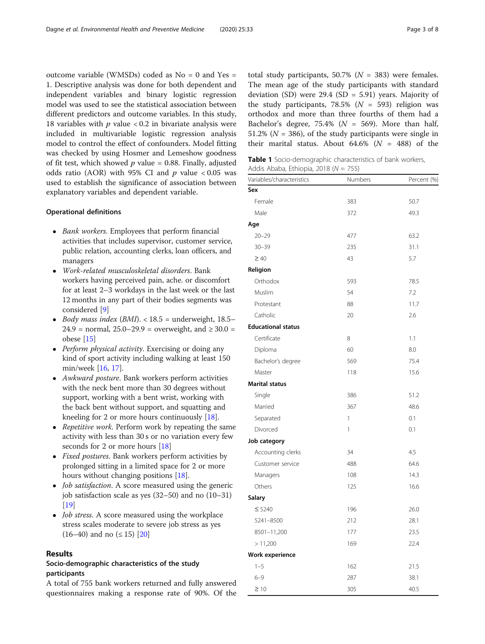<span id="page-2-0"></span>outcome variable (WMSDs) coded as No = 0 and Yes = 1. Descriptive analysis was done for both dependent and independent variables and binary logistic regression model was used to see the statistical association between different predictors and outcome variables. In this study, 18 variables with  $p$  value  $< 0.2$  in bivariate analysis were included in multivariable logistic regression analysis model to control the effect of confounders. Model fitting was checked by using Hosmer and Lemeshow goodness of fit test, which showed  $p$  value = 0.88. Finally, adjusted odds ratio (AOR) with 95% CI and  $p$  value < 0.05 was used to establish the significance of association between explanatory variables and dependent variable.

# Operational definitions

- Bank workers. Employees that perform financial activities that includes supervisor, customer service, public relation, accounting clerks, loan officers, and managers
- Work-related musculoskeletal disorders. Bank workers having perceived pain, ache. or discomfort for at least 2–3 workdays in the last week or the last 12 months in any part of their bodies segments was considered [\[9\]](#page-7-0)
- $\bullet$  Body mass index (BMI). < 18.5 = underweight, 18.5-24.9 = normal,  $25.0-29.9$  = overweight, and  $\geq 30.0$  = obese [\[15\]](#page-7-0)
- Perform physical activity. Exercising or doing any kind of sport activity including walking at least 150 min/week [\[16,](#page-7-0) [17\]](#page-7-0).
- Awkward posture. Bank workers perform activities with the neck bent more than 30 degrees without support, working with a bent wrist, working with the back bent without support, and squatting and kneeling for 2 or more hours continuously [\[18](#page-7-0)].
- Repetitive work. Perform work by repeating the same activity with less than 30 s or no variation every few seconds for 2 or more hours [[18\]](#page-7-0)
- Fixed postures. Bank workers perform activities by prolonged sitting in a limited space for 2 or more hours without changing positions [[18\]](#page-7-0).
- *Job satisfaction*. A score measured using the generic job satisfaction scale as yes (32–50) and no (10–31) [[19](#page-7-0)]
- *Job stress*. A score measured using the workplace stress scales moderate to severe job stress as yes  $(16–40)$  and no  $( \leq 15)$   $[20]$  $[20]$

# Results

# Socio-demographic characteristics of the study participants

A total of 755 bank workers returned and fully answered questionnaires making a response rate of 90%. Of the total study participants, 50.7% ( $N = 383$ ) were females. The mean age of the study participants with standard deviation (SD) were  $29.4$  (SD = 5.91) years. Majority of the study participants, 78.5% ( $N = 593$ ) religion was orthodox and more than three fourths of them had a Bachelor's degree, 75.4% ( $N = 569$ ). More than half, 51.2% ( $N = 386$ ), of the study participants were single in their marital status. About  $64.6\%$  ( $N = 488$ ) of the

Table 1 Socio-demographic characteristics of bank workers, Addis Ababa, Ethiopia, 2018 ( $N = 755$ )

| Variables/characteristics | Numbers      | Percent (%) |
|---------------------------|--------------|-------------|
| Sex                       |              |             |
| Female                    | 383          | 50.7        |
| Male                      | 372          | 49.3        |
| Age                       |              |             |
| $20 - 29$                 | 477          | 63.2        |
| $30 - 39$                 | 235          | 31.1        |
| $\geq 40$                 | 43           | 5.7         |
| Religion                  |              |             |
| Orthodox                  | 593          | 78.5        |
| Muslim                    | 54           | 7.2         |
| Protestant                | 88           | 11.7        |
| Catholic                  | 20           | 2.6         |
| <b>Educational status</b> |              |             |
| Certificate               | 8            | 1.1         |
| Diploma                   | 60           | 8.0         |
| Bachelor's degree         | 569          | 75.4        |
| Master                    | 118          | 15.6        |
| <b>Marital status</b>     |              |             |
| Single                    | 386          | 51.2        |
| Married                   | 367          | 48.6        |
| Separated                 | $\mathbf{1}$ | 0.1         |
| Divorced                  | 1            | 0.1         |
| Job category              |              |             |
| Accounting clerks         | 34           | 4.5         |
| Customer service          | 488          | 64.6        |
| Managers                  | 108          | 14.3        |
| Others                    | 125          | 16.6        |
| <b>Salary</b>             |              |             |
| $\leq 5240$               | 196          | 26.0        |
| 5241-8500                 | 212          | 28.1        |
| 8501-11,200               | 177          | 23.5        |
| > 11,200                  | 169          | 22.4        |
| Work experience           |              |             |
| $1 - 5$                   | 162          | 21.5        |
| $6 - 9$                   | 287          | 38.1        |
| $\geq 10$                 | 305          | 40.5        |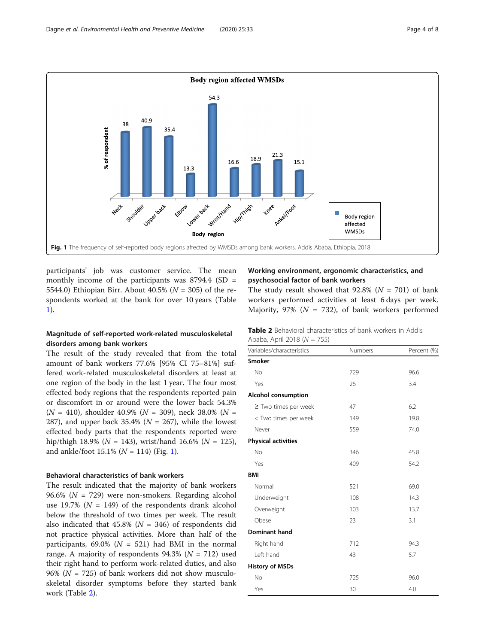

participants' job was customer service. The mean monthly income of the participants was  $8794.4$  (SD = 5544.0) Ethiopian Birr. About 40.5% ( $N = 305$ ) of the respondents worked at the bank for over 10 years (Table [1\)](#page-2-0).

# Magnitude of self-reported work-related musculoskeletal disorders among bank workers

The result of the study revealed that from the total amount of bank workers 77.6% [95% CI 75–81%] suffered work-related musculoskeletal disorders at least at one region of the body in the last 1 year. The four most effected body regions that the respondents reported pain or discomfort in or around were the lower back 54.3%  $(N = 410)$ , shoulder 40.9%  $(N = 309)$ , neck 38.0%  $(N = 100)$ 287), and upper back 35.4% ( $N = 267$ ), while the lowest effected body parts that the respondents reported were hip/thigh 18.9% ( $N = 143$ ), wrist/hand 16.6% ( $N = 125$ ), and ankle/foot  $15.1\%$  ( $N = 114$ ) (Fig. 1).

# Behavioral characteristics of bank workers

The result indicated that the majority of bank workers 96.6% ( $N = 729$ ) were non-smokers. Regarding alcohol use 19.7% ( $N = 149$ ) of the respondents drank alcohol below the threshold of two times per week. The result also indicated that  $45.8\%$  ( $N = 346$ ) of respondents did not practice physical activities. More than half of the participants,  $69.0\%$  ( $N = 521$ ) had BMI in the normal range. A majority of respondents  $94.3\%$  ( $N = 712$ ) used their right hand to perform work-related duties, and also 96% ( $N = 725$ ) of bank workers did not show musculoskeletal disorder symptoms before they started bank work (Table 2).

# Working environment, ergonomic characteristics, and psychosocial factor of bank workers

The study result showed that 92.8% ( $N = 701$ ) of bank workers performed activities at least 6 days per week. Majority, 97% ( $N = 732$ ), of bank workers performed

|                             | <b>Table 2</b> Behavioral characteristics of bank workers in Addis |  |  |
|-----------------------------|--------------------------------------------------------------------|--|--|
| Ababa, April 2018 (N = 755) |                                                                    |  |  |

| Variables/characteristics  | Numbers | Percent (%) |  |  |
|----------------------------|---------|-------------|--|--|
| <b>Smoker</b>              |         |             |  |  |
| <b>No</b>                  | 729     | 96.6        |  |  |
| Yes                        | 26      | 3.4         |  |  |
| <b>Alcohol consumption</b> |         |             |  |  |
| $\ge$ Two times per week   | 47      | 6.2         |  |  |
| < Two times per week       | 149     | 19.8        |  |  |
| Never                      | 559     | 74.0        |  |  |
| <b>Physical activities</b> |         |             |  |  |
| No                         | 346     | 45.8        |  |  |
| Yes                        | 409     | 54.2        |  |  |
| <b>BMI</b>                 |         |             |  |  |
| Normal                     | 521     | 69.0        |  |  |
| Underweight                | 108     | 14.3        |  |  |
| Overweight                 | 103     | 13.7        |  |  |
| Obese                      | 23      | 3.1         |  |  |
| Dominant hand              |         |             |  |  |
| Right hand                 | 712     | 94.3        |  |  |
| Left hand                  | 43      | 5.7         |  |  |
| <b>History of MSDs</b>     |         |             |  |  |
| <b>No</b>                  | 725     | 96.0        |  |  |
| Yes                        | 30      | 4.0         |  |  |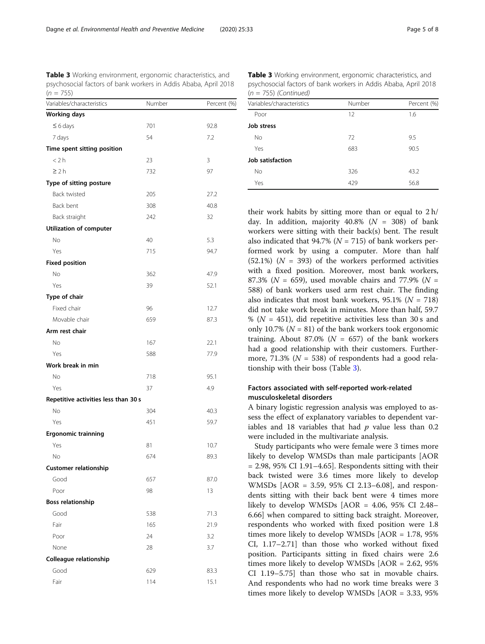Table 3 Working environment, ergonomic characteristics, and psychosocial factors of bank workers in Addis Ababa, April 2018  $(n = 755)$ 

| Variables/characteristics            | Number | Percent (%) |
|--------------------------------------|--------|-------------|
| <b>Working days</b>                  |        |             |
| $\leq 6$ days                        | 701    | 92.8        |
| 7 days                               | 54     | 7.2         |
| Time spent sitting position          |        |             |
| < 2 h                                | 23     | 3           |
| $\geq 2 h$                           | 732    | 97          |
| Type of sitting posture              |        |             |
| Back twisted                         | 205    | 27.2        |
| Back bent                            | 308    | 40.8        |
| Back straight                        | 242    | 32          |
| Utilization of computer              |        |             |
| No                                   | 40     | 5.3         |
| Yes                                  | 715    | 94.7        |
| <b>Fixed position</b>                |        |             |
| No                                   | 362    | 47.9        |
| Yes                                  | 39     | 52.1        |
| Type of chair                        |        |             |
| Fixed chair                          | 96     | 12.7        |
| Movable chair                        | 659    | 87.3        |
| Arm rest chair                       |        |             |
| No                                   | 167    | 22.1        |
| Yes                                  | 588    | 77.9        |
| Work break in min                    |        |             |
| No                                   | 718    | 95.1        |
| Yes                                  | 37     | 4.9         |
| Repetitive activities less than 30 s |        |             |
| No                                   | 304    | 40.3        |
| Yes                                  | 451    | 59.7        |
| <b>Ergonomic trainning</b>           |        |             |
| Yes                                  | 81     | 10.7        |
| No                                   | 674    | 89.3        |
| <b>Customer relationship</b>         |        |             |
| Good                                 | 657    | 87.0        |
| Poor                                 | 98     | 13          |
| <b>Boss relationship</b>             |        |             |
| Good                                 | 538    | 71.3        |
| Fair                                 | 165    | 21.9        |
| Poor                                 | 24     | 3.2         |
| None                                 | 28     | 3.7         |
| Colleague relationship               |        |             |
| Good                                 | 629    | 83.3        |
| Fair                                 | 114    | 15.1        |

 $(n = 755)$  (Continued) Variables/characteristics Number Percent (%) Poor 12 1.6 Job stress No 3.5 Yes 683 90.5 Job satisfaction No 326 43.2

Yes 429 56.8

Table 3 Working environment, ergonomic characteristics, and psychosocial factors of bank workers in Addis Ababa, April 2018

their work habits by sitting more than or equal to 2 h/ day. In addition, majority  $40.8\%$  ( $N = 308$ ) of bank workers were sitting with their back(s) bent. The result also indicated that 94.7% ( $N = 715$ ) of bank workers performed work by using a computer. More than half  $(52.1\%)$   $(N = 393)$  of the workers performed activities with a fixed position. Moreover, most bank workers, 87.3% ( $N = 659$ ), used movable chairs and 77.9% ( $N =$ 588) of bank workers used arm rest chair. The finding also indicates that most bank workers,  $95.1\%$  ( $N = 718$ ) did not take work break in minutes. More than half, 59.7 % ( $N = 451$ ), did repetitive activities less than 30 s and only 10.7% ( $N = 81$ ) of the bank workers took ergonomic training. About 87.0% ( $N = 657$ ) of the bank workers had a good relationship with their customers. Furthermore, 71.3% ( $N = 538$ ) of respondents had a good relationship with their boss (Table 3).

# Factors associated with self-reported work-related musculoskeletal disorders

A binary logistic regression analysis was employed to assess the effect of explanatory variables to dependent variables and 18 variables that had  $p$  value less than 0.2 were included in the multivariate analysis.

Study participants who were female were 3 times more likely to develop WMSDs than male participants [AOR  $= 2.98$ , 95% CI 1.91-4.65]. Respondents sitting with their back twisted were 3.6 times more likely to develop WMSDs [AOR = 3.59, 95% CI 2.13–6.08], and respondents sitting with their back bent were 4 times more likely to develop WMSDs [AOR = 4.06, 95% CI 2.48– 6.66] when compared to sitting back straight. Moreover, respondents who worked with fixed position were 1.8 times more likely to develop WMSDs [AOR = 1.78, 95% CI, 1.17–2.71] than those who worked without fixed position. Participants sitting in fixed chairs were 2.6 times more likely to develop WMSDs [AOR = 2.62, 95% CI 1.19–5.75] than those who sat in movable chairs. And respondents who had no work time breaks were 3 times more likely to develop WMSDs [AOR = 3.33, 95%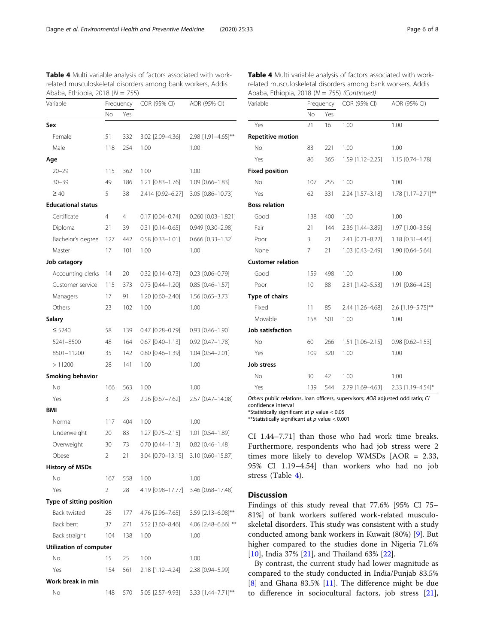| Variable                       | Frequency |     | COR (95% CI)           | AOR (95% CI)                        |  |
|--------------------------------|-----------|-----|------------------------|-------------------------------------|--|
|                                | No        | Yes |                        |                                     |  |
| Sex                            |           |     |                        |                                     |  |
| Female                         | 51        | 332 | 3.02 [2.09-4.36]       | 2.98 [1.91-4.65]**                  |  |
| Male                           | 118       | 254 | 1.00                   | 1.00                                |  |
| Age                            |           |     |                        |                                     |  |
| $20 - 29$                      | 115       | 362 | 1.00                   | 1.00                                |  |
| $30 - 39$                      | 49        | 186 | 1.21 [0.83-1.76]       | $1.09$ $[0.66 - 1.83]$              |  |
| $\geq 40$                      | 5         | 38  | 2.414 [0.92-6.27]      | 3.05 [0.86-10.73]                   |  |
| <b>Educational status</b>      |           |     |                        |                                     |  |
| Certificate                    | 4         | 4   | $0.17$ $[0.04 - 0.74]$ | 0.260 [0.03-1.821]                  |  |
| Diploma                        | 21        | 39  | $0.31$ [0.14-0.65]     | 0.949 [0.30-2.98]                   |  |
| Bachelor's degree              | 127       | 442 | $0.58$ $[0.33 - 1.01]$ | $0.666$ [0.33-1.32]                 |  |
| Master                         | 17        | 101 | 1.00                   | 1.00                                |  |
| Job catagory                   |           |     |                        |                                     |  |
| Accounting clerks              | 14        | 20  | $0.32$ [0.14-0.73]     | $0.23$ $[0.06 - 0.79]$              |  |
| Customer service               | 115       | 373 | $0.73$ $[0.44 - 1.20]$ | $0.85$ [0.46-1.57]                  |  |
| Managers                       | 17        | 91  | 1.20 [0.60-2.40]       | 1.56 [0.65-3.73]                    |  |
| Others                         | 23        | 102 | 1.00                   | 1.00                                |  |
| Salary                         |           |     |                        |                                     |  |
| $\leq 5240$                    | 58        | 139 | $0.47$ $[0.28 - 0.79]$ | $0.93$ $[0.46 - 1.90]$              |  |
| 5241-8500                      | 48        | 164 | $0.67$ $[0.40 - 1.13]$ | $0.92$ [0.47-1.78]                  |  |
| 8501-11200                     | 35        | 142 | $0.80$ $[0.46 - 1.39]$ | 1.04 [0.54-2.01]                    |  |
| >11200                         | 28        | 141 | 1.00                   | 1.00                                |  |
| Smoking behavior               |           |     |                        |                                     |  |
| No                             | 166       | 563 | 1.00                   | 1.00                                |  |
| Yes                            | 3         | 23  | 2.26 [0.67-7.62]       | 2.57 [0.47-14.08]                   |  |
| <b>BMI</b>                     |           |     |                        |                                     |  |
| Normal                         | 117       | 404 | 1.00                   | 1.00                                |  |
| Underweight                    | 20        | 83  | 1.27 [0.75–2.15]       | 1.01 [0.54-1.89]                    |  |
| Overweight                     | 30        | 73  | $0.70$ $[0.44 - 1.13]$ | $0.82$ [0.46-1.48]                  |  |
| Obese                          | 2         | 21  |                        | 3.04 [0.70-13.15] 3.10 [0.60-15.87] |  |
| <b>History of MSDs</b>         |           |     |                        |                                     |  |
| No                             | 167       | 558 | 1.00                   | 1.00                                |  |
| Yes                            | 2         | 28  | 4.19 [0.98-17.77]      | 3.46 [0.68-17.48]                   |  |
| Type of sitting position       |           |     |                        |                                     |  |
| <b>Back twisted</b>            | 28        | 177 | 4.76 [2.96-7.65]       | 3.59 [2.13-6.08]**                  |  |
| Back bent                      | 37        | 271 | 5.52 [3.60-8.46]       | 4.06 [2.48-6.66] **                 |  |
| Back straight                  | 104       | 138 | 1.00                   | 1.00                                |  |
| <b>Utilization of computer</b> |           |     |                        |                                     |  |
| No                             | 15        | 25  | 1.00                   | 1.00                                |  |
| Yes                            | 154       | 561 | 2.18 [1.12–4.24]       | 2.38 [0.94-5.99]                    |  |

No 148 570 5.05 [2.57-9.93] 3.33 [1.44-7.71]\*\*

Work break in min

Table 4 Multi variable analysis of factors associated with workrelated musculoskeletal disorders among bank workers, Addis Table 4 Multi variable analysis of factors associated with workrelated musculoskeletal disorders among bank workers, Addis Ababa, Ethiopia, 2018 ( $N = 755$ ) (Continued)

| Variable                 | Frequency       |     | COR (95% CI)                                     | AOR (95% CI)       |  |
|--------------------------|-----------------|-----|--------------------------------------------------|--------------------|--|
|                          | <b>No</b>       | Yes |                                                  |                    |  |
| Yes                      | 21              | 16  | 1.00                                             | 1.00               |  |
| <b>Repetitive motion</b> |                 |     |                                                  |                    |  |
| No                       | 83              | 221 | 1.00<br>1.00                                     |                    |  |
| Yes                      | 86              | 365 | 1.59 [1.12-2.25]                                 | 1.15 [0.74-1.78]   |  |
| <b>Fixed position</b>    |                 |     |                                                  |                    |  |
| <b>No</b>                | 107             | 255 | 1.00<br>1.00                                     |                    |  |
| Yes                      | 62              | 331 | 2.24 [1.57-3.18]                                 | 1.78 [1.17-2.71]** |  |
| <b>Boss relation</b>     |                 |     |                                                  |                    |  |
| Good                     | 138             | 400 | 1.00                                             | 1.00               |  |
| Fair                     | 21              | 144 | 2.36 [1.44-3.89]                                 | 1.97 [1.00-3.56]   |  |
| Poor                     | 3               | 21  | 2.41 [0.71-8.22]                                 | 1.18 [0.31-4.45]   |  |
| None                     | 7               | 21  | 1.03 [0.43-2.49]                                 | 1.90 [0.64-5.64]   |  |
| <b>Customer relation</b> |                 |     |                                                  |                    |  |
| Good                     | 159             | 498 | 1.00                                             | 1.00               |  |
| Poor                     | 10 <sup>°</sup> | 88  | 2.81 [1.42-5.53]                                 | 1.91 [0.86-4.25]   |  |
| Type of chairs           |                 |     |                                                  |                    |  |
| Fixed                    | 11              | 85  | 2.44 [1.26-4.68]                                 | 2.6 [1.19-5.75]**  |  |
| Movable                  | 158             | 501 | 1.00                                             | 1.00               |  |
| Job satisfaction         |                 |     |                                                  |                    |  |
| <b>No</b>                | 60              | 266 | $1.51$ $[1.06 - 2.15]$<br>$0.98$ $[0.62 - 1.53]$ |                    |  |
| Yes                      | 109             | 320 | 1.00                                             | 1.00               |  |
| <b>Job stress</b>        |                 |     |                                                  |                    |  |
| <b>No</b>                | 30              | 42  | 1.00                                             | 1.00               |  |
| Yes                      | 139             | 544 | 2.79 [1.69-4.63]                                 | 2.33 [1.19-4.54]*  |  |
|                          |                 |     |                                                  |                    |  |

Others public relations, loan officers, supervisors; AOR adjusted odd ratio; CI confidence interval

\*Statistically significant at  $p$  value < 0.05

\*\*Statistically significant at  $p$  value < 0.001

CI 1.44–7.71] than those who had work time breaks. Furthermore, respondents who had job stress were 2 times more likely to develop WMSDs [AOR = 2.33, 95% CI 1.19–4.54] than workers who had no job stress (Table 4).

# **Discussion**

Findings of this study reveal that 77.6% [95% CI 75– 81%] of bank workers suffered work-related musculoskeletal disorders. This study was consistent with a study conducted among bank workers in Kuwait (80%) [\[9](#page-7-0)]. But higher compared to the studies done in Nigeria 71.6% [[10\]](#page-7-0), India 37% [[21](#page-7-0)], and Thailand 63% [[22\]](#page-7-0).

By contrast, the current study had lower magnitude as compared to the study conducted in India/Punjab 83.5% [[8\]](#page-7-0) and Ghana 83.5% [[11\]](#page-7-0). The difference might be due to difference in sociocultural factors, job stress [\[21](#page-7-0)],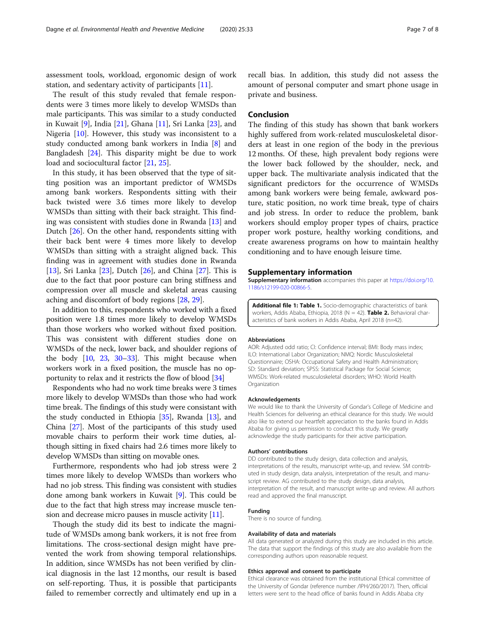assessment tools, workload, ergonomic design of work station, and sedentary activity of participants [\[11](#page-7-0)].

The result of this study revaled that female respondents were 3 times more likely to develop WMSDs than male participants. This was similar to a study conducted in Kuwait [[9\]](#page-7-0), India [[21\]](#page-7-0), Ghana [\[11\]](#page-7-0), Sri Lanka [\[23](#page-7-0)], and Nigeria [[10\]](#page-7-0). However, this study was inconsistent to a study conducted among bank workers in India [\[8](#page-7-0)] and Bangladesh [[24\]](#page-7-0). This disparity might be due to work load and sociocultural factor [[21,](#page-7-0) [25\]](#page-7-0).

In this study, it has been observed that the type of sitting position was an important predictor of WMSDs among bank workers. Respondents sitting with their back twisted were 3.6 times more likely to develop WMSDs than sitting with their back straight. This finding was consistent with studies done in Rwanda [\[13](#page-7-0)] and Dutch [[26](#page-7-0)]. On the other hand, respondents sitting with their back bent were 4 times more likely to develop WMSDs than sitting with a straight aligned back. This finding was in agreement with studies done in Rwanda [[13\]](#page-7-0), Sri Lanka [[23\]](#page-7-0), Dutch [\[26](#page-7-0)], and China [[27\]](#page-7-0). This is due to the fact that poor posture can bring stiffness and compression over all muscle and skeletal areas causing aching and discomfort of body regions [[28,](#page-7-0) [29\]](#page-7-0).

In addition to this, respondents who worked with a fixed position were 1.8 times more likely to develop WMSDs than those workers who worked without fixed position. This was consistent with different studies done on WMSDs of the neck, lower back, and shoulder regions of the body [[10](#page-7-0), [23](#page-7-0), [30](#page-7-0)–[33\]](#page-7-0). This might because when workers work in a fixed position, the muscle has no opportunity to relax and it restricts the flow of blood [\[34\]](#page-7-0)

Respondents who had no work time breaks were 3 times more likely to develop WMSDs than those who had work time break. The findings of this study were consistant with the study conducted in Ethiopia [\[35\]](#page-7-0), Rwanda [[13](#page-7-0)], and China [\[27\]](#page-7-0). Most of the participants of this study used movable chairs to perform their work time duties, although sitting in fixed chairs had 2.6 times more likely to develop WMSDs than sitting on movable ones.

Furthermore, respondents who had job stress were 2 times more likely to develop WMSDs than workers who had no job stress. This finding was consistent with studies done among bank workers in Kuwait [[9\]](#page-7-0). This could be due to the fact that high stress may increase muscle tension and decrease micro pauses in muscle activity [\[11\]](#page-7-0).

Though the study did its best to indicate the magnitude of WMSDs among bank workers, it is not free from limitations. The cross-sectional design might have prevented the work from showing temporal relationships. In addition, since WMSDs has not been verified by clinical diagnosis in the last 12 months, our result is based on self-reporting. Thus, it is possible that participants failed to remember correctly and ultimately end up in a

recall bias. In addition, this study did not assess the amount of personal computer and smart phone usage in private and business.

# Conclusion

The finding of this study has shown that bank workers highly suffered from work-related musculoskeletal disorders at least in one region of the body in the previous 12 months. Of these, high prevalent body regions were the lower back followed by the shoulder, neck, and upper back. The multivariate analysis indicated that the significant predictors for the occurrence of WMSDs among bank workers were being female, awkward posture, static position, no work time break, type of chairs and job stress. In order to reduce the problem, bank workers should employ proper types of chairs, practice proper work posture, healthy working conditions, and create awareness programs on how to maintain healthy conditioning and to have enough leisure time.

#### Supplementary information

Supplementary information accompanies this paper at [https://doi.org/10.](https://doi.org/10.1186/s12199-020-00866-5) [1186/s12199-020-00866-5](https://doi.org/10.1186/s12199-020-00866-5).

Additional file 1: Table 1. Socio-demographic characteristics of bank workers, Addis Ababa, Ethiopia, 2018 (N = 42). Table 2. Behavioral characteristics of bank workers in Addis Ababa, April 2018 (n=42).

#### Abbreviations

AOR: Adjusted odd ratio; CI: Confidence interval; BMI: Body mass index; ILO: International Labor Organization; NMQ: Nordic Musculoskeletal Questionnaire; OSHA: Occupational Safety and Health Administration; SD: Standard deviation; SPSS: Statistical Package for Social Science; WMSDs: Work-related musculoskeletal disorders; WHO: World Health Organization

#### Acknowledgements

We would like to thank the University of Gondar's College of Medicine and Health Sciences for delivering an ethical clearance for this study. We would also like to extend our heartfelt appreciation to the banks found in Addis Ababa for giving us permission to conduct this study. We greatly acknowledge the study participants for their active participation.

#### Authors' contributions

DD contributed to the study design, data collection and analysis, interpretations of the results, manuscript write-up, and review. SM contributed in study design, data analysis, interpretation of the result, and manuscript review. AG contributed to the study design, data analysis, interpretation of the result, and manuscript write-up and review. All authors read and approved the final manuscript.

#### Funding

There is no source of funding.

#### Availability of data and materials

All data generated or analyzed during this study are included in this article. The data that support the findings of this study are also available from the corresponding authors upon reasonable request.

#### Ethics approval and consent to participate

Ethical clearance was obtained from the institutional Ethical committee of the University of Gondar (reference number /IPH/260/2017). Then, official letters were sent to the head office of banks found in Addis Ababa city